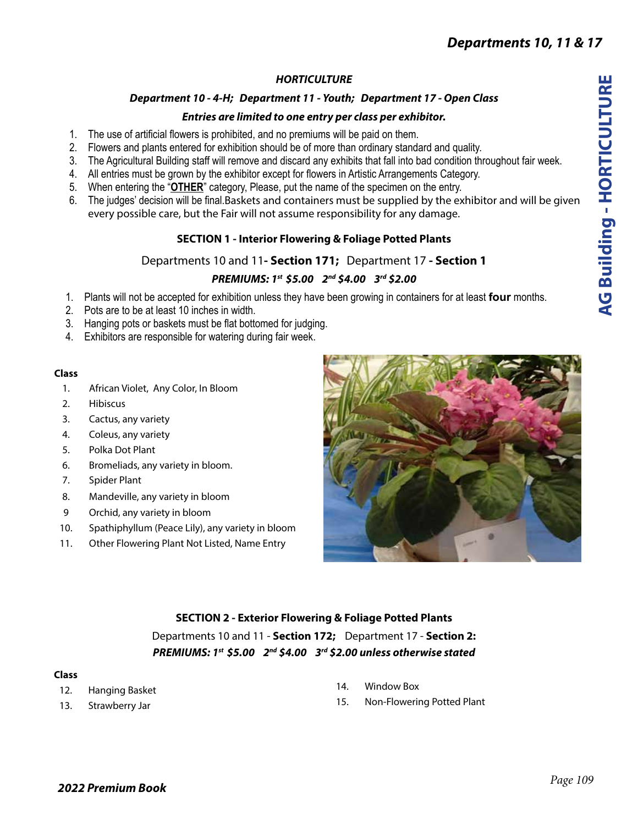## *HORTICULTURE*

## *Department 10 - 4-H; Department 11 - Youth; Department 17 - Open Class*

## *Entries are limited to one entry per class per exhibitor.*

- 1. The use of artificial flowers is prohibited, and no premiums will be paid on them.
- 2. Flowers and plants entered for exhibition should be of more than ordinary standard and quality.
- 3. The Agricultural Building staff will remove and discard any exhibits that fall into bad condition throughout fair week.
- 4. All entries must be grown by the exhibitor except for flowers in Artistic Arrangements Category.
- 5. When entering the "**OTHER**" category, Please, put the name of the specimen on the entry.
- 6. The judges' decision will be final.Baskets and containers must be supplied by the exhibitor and will be given every possible care, but the Fair will not assume responsibility for any damage.

# **SECTION 1 - Interior Flowering & Foliage Potted Plants**

## Departments 10 and 11**- Section 171;** Department 17 **- Section 1**

# *PREMIUMS: 1st \$5.00 2nd \$4.00 3rd \$2.00*

- 1. Plants will not be accepted for exhibition unless they have been growing in containers for at least **four** months.
- 2. Pots are to be at least 10 inches in width.
- 3. Hanging pots or baskets must be flat bottomed for judging.
- 4. Exhibitors are responsible for watering during fair week.

### **Class**

- 1. African Violet, Any Color, In Bloom
- 2. Hibiscus
- 3. Cactus, any variety
- 4. Coleus, any variety
- 5. Polka Dot Plant
- 6. Bromeliads, any variety in bloom.
- 7. Spider Plant
- 8. Mandeville, any variety in bloom
- 9 Orchid, any variety in bloom
- 10. Spathiphyllum (Peace Lily), any variety in bloom
- 11. Other Flowering Plant Not Listed, Name Entry



## **SECTION 2 - Exterior Flowering & Foliage Potted Plants**

Departments 10 and 11 - **Section 172;** Department 17 - **Section 2:** *PREMIUMS: 1st \$5.00 2nd \$4.00 3rd \$2.00 unless otherwise stated*

### **Class**

- 12. Hanging Basket
- 13. Strawberry Jar
- 14. Window Box
- 15. Non-Flowering Potted Plant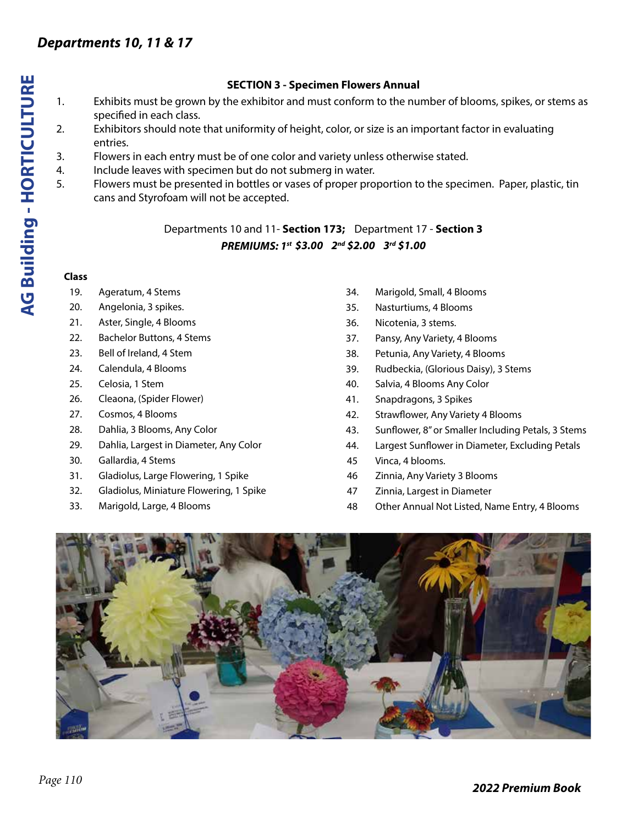### **SECTION 3 - Specimen Flowers Annual**

- 1. Exhibits must be grown by the exhibitor and must conform to the number of blooms, spikes, or stems as specified in each class.
- 2. Exhibitors should note that uniformity of height, color, or size is an important factor in evaluating entries.
- 3. Flowers in each entry must be of one color and variety unless otherwise stated.
- 4. Include leaves with specimen but do not submerg in water.
- 5. Flowers must be presented in bottles or vases of proper proportion to the specimen. Paper, plastic, tin cans and Styrofoam will not be accepted.

Departments 10 and 11- **Section 173;** Department 17 - **Section 3** *PREMIUMS: 1st \$3.00 2nd \$2.00 3rd \$1.00*

#### **Class**

- 19. Ageratum, 4 Stems
- 20. Angelonia, 3 spikes.
- 21. Aster, Single, 4 Blooms
- 22. Bachelor Buttons, 4 Stems
- 23. Bell of Ireland, 4 Stem
- 24. Calendula, 4 Blooms
- 25. Celosia, 1 Stem
- 26. Cleaona, (Spider Flower)
- 27. Cosmos, 4 Blooms
- 28. Dahlia, 3 Blooms, Any Color
- 29. Dahlia, Largest in Diameter, Any Color
- 30. Gallardia, 4 Stems
- 31. Gladiolus, Large Flowering, 1 Spike
- 32. Gladiolus, Miniature Flowering, 1 Spike
- 33. Marigold, Large, 4 Blooms
- 34. Marigold, Small, 4 Blooms
- 35. Nasturtiums, 4 Blooms
- 36. Nicotenia, 3 stems.
- 37. Pansy, Any Variety, 4 Blooms
- 38. Petunia, Any Variety, 4 Blooms
- 39. Rudbeckia, (Glorious Daisy), 3 Stems
- 40. Salvia, 4 Blooms Any Color
- 41. Snapdragons, 3 Spikes
- 42. Strawflower, Any Variety 4 Blooms
- 43. Sunflower, 8" or Smaller Including Petals, 3 Stems
- 44. Largest Sunflower in Diameter, Excluding Petals
- 45 Vinca, 4 blooms.
- 46 Zinnia, Any Variety 3 Blooms
- 47 Zinnia, Largest in Diameter
- 48 Other Annual Not Listed, Name Entry, 4 Blooms

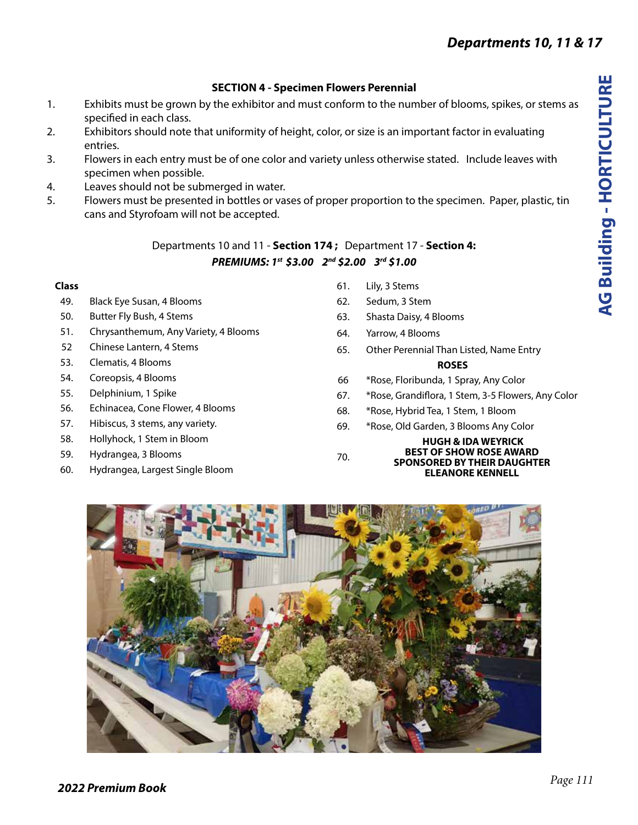### **SECTION 4 - Specimen Flowers Perennial**

- 1. Exhibits must be grown by the exhibitor and must conform to the number of blooms, spikes, or stems as specified in each class.
- 2. Exhibitors should note that uniformity of height, color, or size is an important factor in evaluating entries.
- 3. Flowers in each entry must be of one color and variety unless otherwise stated. Include leaves with specimen when possible.
- 4. Leaves should not be submerged in water.
- 5. Flowers must be presented in bottles or vases of proper proportion to the specimen. Paper, plastic, tin cans and Styrofoam will not be accepted.

### Departments 10 and 11 - **Section 174 ;** Department 17 - **Section 4:** *PREMIUMS: 1st \$3.00 2nd \$2.00 3rd \$1.00*

#### **Class**

- 49. Black Eye Susan, 4 Blooms
- 50. Butter Fly Bush, 4 Stems
- 51. Chrysanthemum, Any Variety, 4 Blooms
- 52 Chinese Lantern, 4 Stems
- 53. Clematis, 4 Blooms
- 54. Coreopsis, 4 Blooms
- 55. Delphinium, 1 Spike
- 56. Echinacea, Cone Flower, 4 Blooms
- 57. Hibiscus, 3 stems, any variety.
- 58. Hollyhock, 1 Stem in Bloom
- 59. Hydrangea, 3 Blooms
- 60. Hydrangea, Largest Single Bloom
- 61. Lily, 3 Stems
- 62. Sedum, 3 Stem
- 63. Shasta Daisy, 4 Blooms
- 64. Yarrow, 4 Blooms
- 65. Other Perennial Than Listed, Name Entry **ROSES**
- 66 \*Rose, Floribunda, 1 Spray, Any Color
- 67. \*Rose, Grandiflora, 1 Stem, 3-5 Flowers, Any Color
- 68. \*Rose, Hybrid Tea, 1 Stem, 1 Bloom
- 69. \*Rose, Old Garden, 3 Blooms Any Color

#### **HUGH & IDA WEYRICK BEST OF SHOW ROSE AWARD SPONSORED BY THEIR DAUGHTER ELEANORE KENNELL**



70.